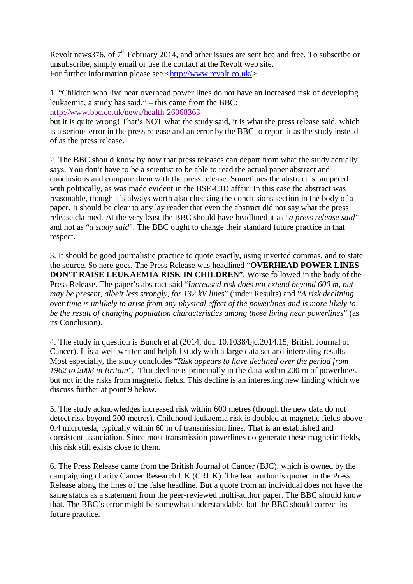Revolt news376, of  $7<sup>th</sup>$  February 2014, and other issues are sent bcc and free. To subscribe or unsubscribe, simply email or use the contact at the Revolt web site. For further information please see  $\langle \frac{http://www.revolt.co.uk/}{$ .

1. "Children who live near overhead power lines do not have an increased risk of developing leukaemia, a study has said." – this came from the BBC: http://www.bbc.co.uk/news/health-26068363

but it is quite wrong! That's NOT what the study said, it is what the press release said, which is a serious error in the press release and an error by the BBC to report it as the study instead of as the press release.

2. The BBC should know by now that press releases can depart from what the study actually says. You don't have to be a scientist to be able to read the actual paper abstract and conclusions and compare them with the press release. Sometimes the abstract is tampered with politically, as was made evident in the BSE-CJD affair. In this case the abstract was reasonable, though it's always worth also checking the conclusions section in the body of a paper. It should be clear to any lay reader that even the abstract did not say what the press release claimed. At the very least the BBC should have headlined it as "*a press release said*" and not as "*a study said*". The BBC ought to change their standard future practice in that respect.

3. It should be good journalistic practice to quote exactly, using inverted commas, and to state the source. So here goes. The Press Release was headlined "**OVERHEAD POWER LINES DON'T RAISE LEUKAEMIA RISK IN CHILDREN**". Worse followed in the body of the Press Release. The paper's abstract said "*Increased risk does not extend beyond 600 m, but may be present, albeit less strongly, for 132 kV lines*" (under Results) and "*A risk declining over time is unlikely to arise from any physical effect of the powerlines and is more likely to be the result of changing population characteristics among those living near powerlines*" (as its Conclusion).

4. The study in question is Bunch et al (2014, doi: 10.1038/bjc.2014.15, British Journal of Cancer). It is a well-written and helpful study with a large data set and interesting results. Most especially, the study concludes "*Risk appears to have declined over the period from 1962 to 2008 in Britain*". That decline is principally in the data within 200 m of powerlines, but not in the risks from magnetic fields*.* This decline is an interesting new finding which we discuss further at point 9 below.

5. The study acknowledges increased risk within 600 metres (though the new data do not detect risk beyond 200 metres). Childhood leukaemia risk is doubled at magnetic fields above 0.4 microtesla, typically within 60 m of transmission lines. That is an established and consistent association. Since most transmission powerlines do generate these magnetic fields, this risk still exists close to them.

6. The Press Release came from the British Journal of Cancer (BJC), which is owned by the campaigning charity Cancer Research UK (CRUK). The lead author is quoted in the Press Release along the lines of the false headline. But a quote from an individual does not have the same status as a statement from the peer-reviewed multi-author paper. The BBC should know that. The BBC's error might be somewhat understandable, but the BBC should correct its future practice.